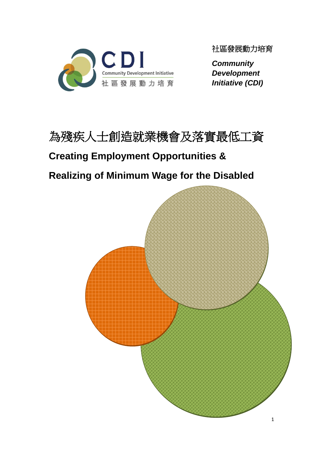

社區發展動力培育

*Community Development Initiative (CDI)* 



# **Creating Employment Opportunities &**

# **Realizing of Minimum Wage for the Disabled**

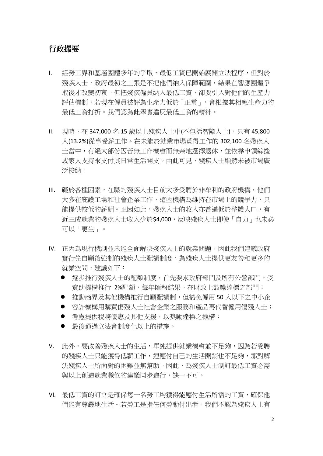#### 行政撮要

- I. 經勞工界和基層團體多年的爭取,最低工資已開始展開立法程序,但對於 殘疾人士,政府最初之主張是不把他們納入保障範圍,結果在響應團體爭 取後才改變初衷。但把殘疾僱員納入最低工資,卻要引入對他們的生產力 評估機制,若現在僱員被評為生產力低於「正常」,會根據其相應生產力的 最低工資打折。我們認為此舉實違反最低工資的精神。
- II. 現時,在 347,000 名 15 歲以上殘疾人士中(不包括智障人士),只有 45,800 人(13.2%)從事受薪工作。在未能於就業市場覓得工作的 302,100 名殘疾人 士當中,有絕大部份因苦無工作機會而無奈地選擇退休,並依靠申領綜援 或家人支持來支付其日常生活開支。由此可見,殘疾人士顯然未被市場廣 泛接納。
- III. 礙於各種因素,在職的殘疾人士目前大多受聘於非牟利的政府機構,他們 大多在庇護工場和社會企業工作,這些機構為維持在市場上的競爭力,只 能提供較低的薪酬。正因如此,殘疾人士的收入亦普遍低於整體人口,有 近三成就業的殘疾人士收入少於\$4,000,反映殘疾人士即使「自力」也未必 可以「更生」。
- IV. 正因為現行機制並未能全面解決殘疾人士的就業問題,因此我們建議政府 實行先自願後強制的殘疾人士配額制度,為殘疾人士提供更友善和更多的 就業空間,建議如下:
	- 逐步推行殘疾人士的配額制度,首先要求政府部門及所有公營部門,受 資助機構推行 2%配額,每年匯報結果,在財政上鼓勵達標之部門;
	- 推動商界及其他機構推行自願配額制,但豁免僱用 50 人以下之中小企
	- 容許機構用購買傷殘人士社會企業之服務和產品再代替僱用傷殘人士;
	- 考慮提供稅務優惠及其他支援,以獎勵達標之機構;
	- 最後通過立法會制度化以上的措施。
- V. 此外,要改善殘疾人士的生活,單純提供就業機會並不足夠,因為若受聘 的殘疾人士只能獲得低薪工作,連應付自己的生活開銷也不足夠,那對解 決殘疾人士所面對的困難並無幫助。因此,為殘疾人士制訂最低工資必需 與以上創造就業職位的建議同步進行,缺一不可。
- VI. 最低工資的訂立是確保每一名勞工均獲得能應付生活所需的工資,確保他 們能有尊嚴地生活。若勞工是指任何勞動付出者,我們不認為殘疾人士有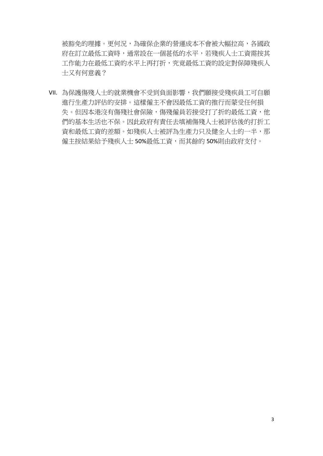被豁免的理據。更何況,為確保企業的營運成本不會被大幅拉高,各國政 府在訂立最低工資時,通常設在一個甚低的水平,若殘疾人士工資需按其 工作能力在最低工資的水平上再打折,究竟最低工資的設定對保障殘疾人 士又有何意義?

VII. 為保護傷殘人士的就業機會不受到負面影響,我們願接受殘疾員工可自願 進行生產力評估的安排。這樣僱主不會因最低工資的推行而蒙受任何損 失。但因本港沒有傷殘社會保險,傷殘僱員若接受打了折的最低工資,他 們的基本生活也不保。因此政府有責任去填補傷殘人士被評估後的打折工 資和最低工資的差額。如殘疾人士被評為生產力只及健全人士的一半,那 僱主按結果給予殘疾人士 50%最低工資,而其餘的 50%則由政府支付。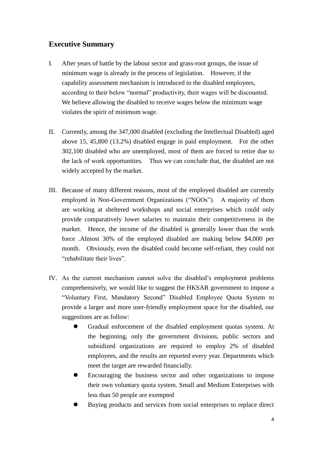#### **Executive Summary**

- I. After years of battle by the labour sector and grass-root groups, the issue of minimum wage is already in the process of legislation. However, if the capability assessment mechanism is introduced to the disabled employees, according to their below "normal" productivity, their wages will be discounted. We believe allowing the disabled to receive wages below the minimum wage violates the spirit of minimum wage.
- II. Currently, among the 347,000 disabled (excluding the Intellectual Disabled) aged above 15, 45,800 (13.2%) disabled engage in paid employment. For the other 302,100 disabled who are unemployed, most of them are forced to retire due to the lack of work opportunities. Thus we can conclude that, the disabled are not widely accepted by the market.
- III. Because of many different reasons, most of the employed disabled are currently employed in Non-Government Organizations ("NGOs"). A majority of them are working at sheltered workshops and social enterprises which could only provide comparatively lower salaries to maintain their competitiveness in the market. Hence, the income of the disabled is generally lower than the work force .Almost 30% of the employed disabled are making below \$4,000 per month. Obviously, even the disabled could become self-reliant, they could not "rehabilitate their lives".
- IV. As the current mechanism cannot solve the disabled's employment problems comprehensively, we would like to suggest the HKSAR government to impose a "Voluntary First, Mandatory Second" Disabled Employee Quota System to provide a larger and more user-friendly employment space for the disabled, our suggestions are as follow:
	- Gradual enforcement of the disabled employment quotas system. At the beginning, only the government divisions, public sectors and subsidized organizations are required to employ 2% of disabled employees, and the results are reported every year. Departments which meet the target are rewarded financially.
	- Encouraging the business sector and other organizations to impose their own voluntary quota system. Small and Medium Enterprises with less than 50 people are exempted
	- Buying products and services from social enterprises to replace direct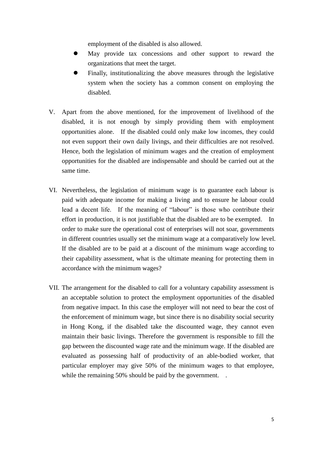employment of the disabled is also allowed.

- May provide tax concessions and other support to reward the organizations that meet the target.
- Finally, institutionalizing the above measures through the legislative system when the society has a common consent on employing the disabled.
- V. Apart from the above mentioned, for the improvement of livelihood of the disabled, it is not enough by simply providing them with employment opportunities alone. If the disabled could only make low incomes, they could not even support their own daily livings, and their difficulties are not resolved. Hence, both the legislation of minimum wages and the creation of employment opportunities for the disabled are indispensable and should be carried out at the same time.
- VI. Nevertheless, the legislation of minimum wage is to guarantee each labour is paid with adequate income for making a living and to ensure he labour could lead a decent life. If the meaning of "labour" is those who contribute their effort in production, it is not justifiable that the disabled are to be exempted. In order to make sure the operational cost of enterprises will not soar, governments in different countries usually set the minimum wage at a comparatively low level. If the disabled are to be paid at a discount of the minimum wage according to their capability assessment, what is the ultimate meaning for protecting them in accordance with the minimum wages?
- VII. The arrangement for the disabled to call for a voluntary capability assessment is an acceptable solution to protect the employment opportunities of the disabled from negative impact. In this case the employer will not need to bear the cost of the enforcement of minimum wage, but since there is no disability social security in Hong Kong, if the disabled take the discounted wage, they cannot even maintain their basic livings. Therefore the government is responsible to fill the gap between the discounted wage rate and the minimum wage. If the disabled are evaluated as possessing half of productivity of an able-bodied worker, that particular employer may give 50% of the minimum wages to that employee, while the remaining 50% should be paid by the government...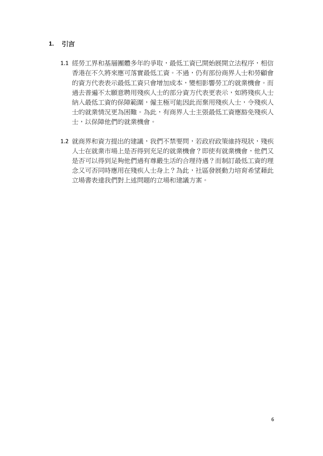#### **1.** 引言

- 1.1 經勞工界和基層團體多年的爭取,最低工資已開始展開立法程序,相信 香港在不久將來應可落實最低工資。不過,仍有部份商界人士和勞顧會 的資方代表表示最低工資只會增加成本,變相影響勞工的就業機會。而 過去普遍不太願意聘用殘疾人士的部分資方代表更表示,如將殘疾人士 納入最低工資的保障範圍,僱主極可能因此而棄用殘疾人士,令殘疾人 士的就業情況更為困難。為此,有商界人士主張最低工資應豁免殘疾人 士,以保障他們的就業機會。
- 1.2 就商界和資方提出的建議,我們不禁要問,若政府政策維持現狀,殘疾 人士在就業市場上是否得到充足的就業機會?即使有就業機會,他們又 是否可以得到足夠他們過有尊嚴生活的合理待遇?而制訂最低工資的理 念又可否同時應用在殘疾人士身上?為此,社區發展動力培育希望藉此 立場書表達我們對上述問題的立場和建議方案。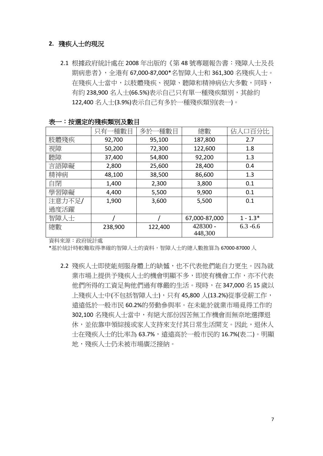#### **2.** 殘疾人士的現況

2.1 根據政府統計處在 2008 年出版的《第 48 號專題報告書:殘障人士及長 期病患者》,全港有 67,000-87,000\*名智障人士和 361,300 名殘疾人士。 在殘疾人士當中,以肢體殘疾、視障、聽障和精神病佔大多數,同時, 有約 238,900 名人士(66.5%)表示自己只有單一種殘疾類別,其餘約 122,400 名人士(3.9%)表示自己有多於一種殘疾類別(表一)。

|        | 只有一種數目  | 多於一種數目  | 總數                  | 佔人口百分比      |
|--------|---------|---------|---------------------|-------------|
| 肢體殘疾   | 92,700  | 95,100  | 187,800             | 2.7         |
| 視障     | 50,200  | 72,300  | 122,600             | 1.8         |
| 聽障     | 37,400  | 54,800  | 92,200              | 1.3         |
| 言語障礙   | 2,800   | 25,600  | 28,400              | 0.4         |
| 精神病    | 48,100  | 38,500  | 86,600              | 1.3         |
| 自閉     | 1,400   | 2,300   | 3,800               | 0.1         |
| 學習障礙   | 4,400   | 5,500   | 9,900               | 0.1         |
| 注意力不足/ | 1,900   | 3,600   | 5,500               | 0.1         |
| 過度活躍   |         |         |                     |             |
| 智障人士   |         |         | 67,000-87,000       | $1 - 1.3*$  |
| 總數     | 238,900 | 122,400 | 428300 -<br>448,300 | $6.3 - 6.6$ |

表一:按選定的殘疾類別及數目

資料來源:政府統計處

\*基於統計時較難取得準確的智障人士的資料,智障人士的總人數推算為 67000-87000 人

2.2 殘疾人士即使能刻服身體上的缺憾,也不代表他們能自力更生。因為就 業市場上提供予殘疾人士的機會明顯不多,即使有機會工作,亦不代表 他們所得的工資足夠他們過有尊嚴的生活。現時,在 347,000 名 15 歲以 上殘疾人士中(不包括智障人士),只有 45,800 人(13.2%)從事受薪工作, 遠遠低於一般市民 60.2%的勞動參與率。在未能於就業市場覓得工作的 302.100 名殘疾人十當中,有絕大部份因苦無工作機會而無奈地選擇退 休,並依靠申領綜援或家人支持來支付其日常生活開支。因此,退休人 士在殘疾人士的比率為 63.7%,遠遠高於一般市民的 16.7%(表二)。明顯 地,殘疾人士仍未被市場廣泛接納。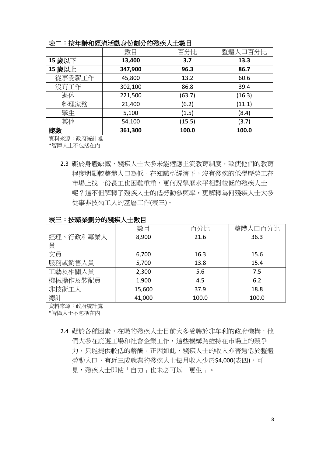|  | 按年齡和經濟活動身份劃分的殘疾人士數目 |  |
|--|---------------------|--|

|        | 數目      | 百分比    | 整體人口百分比 |
|--------|---------|--------|---------|
| 15 歲以下 | 13,400  | 3.7    | 13.3    |
| 15 歲以上 | 347,900 | 96.3   | 86.7    |
| 從事受薪工作 | 45,800  | 13.2   | 60.6    |
| 沒有工作   | 302,100 | 86.8   | 39.4    |
| 退休     | 221,500 | (63.7) | (16.3)  |
| 料理家務   | 21,400  | (6.2)  | (11.1)  |
| 學生     | 5,100   | (1.5)  | (8.4)   |
| 其他     | 54,100  | (15.5) | (3.7)   |
| 總數     | 361,300 | 100.0  | 100.0   |

資料來源:政府統計處

\*智障人士不包括在內

2.3 礙於身體缺憾,殘疾人士大多未能滴應主流教育制度,致使他們的教育 程度明顯較整體人口為低。在知識型經濟下,沒有殘疾的低學歷勞工在 市場上找一份長工也困難重重,更何況學歷水平相對較低的殘疾人士 呢?這不但解釋了殘疾人士的低勞動參與率,更解釋為何殘疾人士大多 從事非技術工人的基層工作(表三)。

|           | 數目     | 百分比   | 整體人口百分比 |
|-----------|--------|-------|---------|
| 經理、行政和專業人 | 8,900  | 21.6  | 36.3    |
| 員         |        |       |         |
| 文員        | 6,700  | 16.3  | 15.6    |
| 服務或銷售人員   | 5,700  | 13.8  | 15.4    |
| 工藝及相關人員   | 2,300  | 5.6   | 7.5     |
| 機械操作及裝配員  | 1,900  | 4.5   | 6.2     |
| 非技術工人     | 15,600 | 37.9  | 18.8    |
| 總計        | 41,000 | 100.0 | 100.0   |

表三:按職業劃分的殘疾人士數目

資料來源:政府統計處

\*智障人士不包括在內

2.4 礙於各種因素,在職的殘疾人士目前大多受聘於非牟利的政府機構,他 們大多在庇護工場和社會企業工作,這些機構為維持在市場上的競爭 力,只能提供較低的薪酬。正因如此,殘疾人士的收入亦普遍低於整體 勞動人口,有近三成就業的殘疾人士每月收入少於\$4,000(表四),可 見,殘疾人士即使「自力」也未必可以「更生」。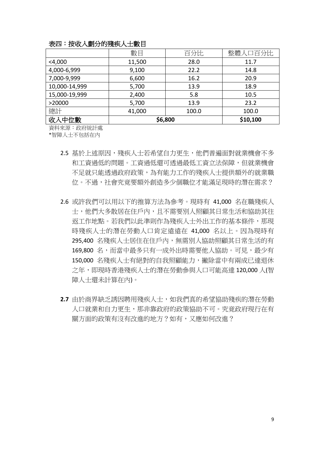|               | 數目     | 百分比     | 整體人口百分比  |
|---------------|--------|---------|----------|
| $<$ 4,000     | 11,500 | 28.0    | 11.7     |
| 4,000-6,999   | 9,100  | 22.2    | 14.8     |
| 7,000-9,999   | 6,600  | 16.2    | 20.9     |
| 10,000-14,999 | 5,700  | 13.9    | 18.9     |
| 15,000-19,999 | 2,400  | 5.8     | 10.5     |
| >20000        | 5,700  | 13.9    | 23.2     |
| 總計            | 41,000 | 100.0   | 100.0    |
| 收入中位數         |        | \$6,800 | \$10,100 |

#### 表四:按收入劃分的殘疾人士數目

資料來源:政府統計處

\*智障人士不包括在內

- 2.5 基於上述原因,殘疾人士若希望自力更生,他們普遍面對就業機會不多 和工資過低的問題。工資過低還可透過最低工資立法保障,但就業機會 不足就只能透過政府政策,為有能力工作的殘疾人士提供額外的就業職 位。不過,社會究竟要額外創造多少個職位才能滿足現時的潛在需求?
- 2.6 或許我們可以用以下的推算方法為參考。現時有 41,000 名在職殘疾人 士,他們大多散居在住戶內,且不需要別人照顧其日常生活和協助其往 返工作地點。若我們以此準則作為殘疾人士外出工作的基本條件,那現 時殘疾人士的潛在勞動人口肯定遠遠在 41,000 名以上。因為現時有 295,400 名殘疾人士居住在住戶內,無需別人協助照顧其日常生活的有 169,800 名,而當中最多只有一成外出時需要他人協助。可見,最少有 150,000 名殘疾人士有絕對的自我照顧能力,撇除當中有兩成已達退休 之年,即現時香港殘疾人士的潛在勞動參與人口可能高達 120,000 人(智 障人士還未計算在內)。
- **2.7** 由於商界缺乏誘因聘用殘疾人士,如我們真的希望協助殘疾的潛在勞動 人口就業和自力更生,那非靠政府的政策協助不可。究竟政府現行在有 關方面的政策有沒有改進的地方?如有,又應如何改進?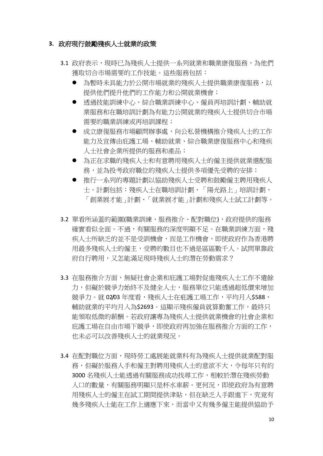#### **3.** 政府現行鼓勵殘疾人士就業的政策

- 3.1 政府表示,現時已為殘疾人士提供一系列就業和職業康復服務,為他們 獲取切合市場需要的工作技能。這些服務包括:
	- 為暫時未具能力於公開市場就業的殘疾人士提供職業康復服務,以 提供他們提升他們的工作能力和公開就業機會;
	- 透過技能訓練中心、綜合職業訓練中心、僱員再培訓計劃、輔助就 業服務和在職培訓計劃為有能力公開就業的殘疾人士提供切合市場 需要的職業訓練或再培訓課程;
	- 成立康復服務市場顧問辦事處,向公私營機構推介殘疾人士的工作 能力及宣傳由庇護工場、輔助就業、綜合職業康復服務中心和殘疾 人士社會企業所提供的服務和產品;
	- 為正在求職的殘疾人士和有意聘用殘疾人士的僱主提供就業選配服 務,並為投考政府職位的殘疾人士提供多項優先受聘的安排;
	- 推行一系列的專題計劃以協助殘疾人士受聘和鼓勵僱主聘用殘疾人 士。計劃包括:殘疾人士在職培訓計劃、「陽光路上」培訓計劃、 「創業展才能」計劃、「就業展才能」計劃和殘疾人士試工計劃等。
- 3.2 單看所涵蓋的範圍(職業訓練、服務推介、配對職位),政府提供的服務 確實看似全面。不過,有關服務的深度明顯不足。在職業訓練方面,殘 疾人士所缺乏的並不是受訓機會,而是工作機會,即使政府作為香港聘 用最多殘疾人士的僱主,受聘的數目也不過是區區數千人。試問單靠政 府自行聘用,又怎能滿足現時殘疾人士的潛在勞動需求?
- 3.3 在服務推介方面,無疑社會企業和庇護工場對促進殘疾人士工作不遺餘 力,但礙於競爭力始終不及健全人士,服務單位只能透過超低價來增加 競爭力。就 02/03 年度看,殘疾人士在疪護工場工作,平均月入\$588, 輔助就業的平均月入為\$2693。這顯示殘疾僱員就算勤奮工作,最終只 能領取低微的薪酬。若政府讓專為殘疾人士提供就業機會的社會企業和 庇護工場在自由市場下競爭,即使政府再加強在服務推介方面的工作, 也未必可以改善殘疾人士的就業現況。
- 3.4 在配對職位方面,現時勞工處展能就業科有為殘疾人士提供就業配對服 務,但礙於服務人手和僱主對聘用殘疾人士的意欲不大,令每年只有約 3000 名殘疾人士能透過有關服務成功找尋工作,相較於潛在殘疾勞動 人口的數量,有關服務明顯只是杯水車薪。更何況,即使政府為有意聘 用殘疾人士的僱主在試工期間提供津貼,但在缺乏人手跟進下,究竟有 幾多殘疾人士能在工作上適應下來,而當中又有幾多僱主能提供協助予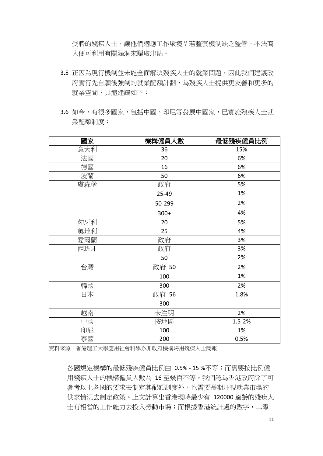受聘的殘疾人士,讓他們適應工作環境?若整套機制缺乏監管,不法商 人便可利用有關漏洞來騙取津貼。

- 3.5 正因為現行機制並未能全面解決殘疾人士的就業問題,因此我們建議政 府實行先自願後強制的就業配額計劃,為殘疾人士提供更友善和更多的 就業空間,具體建議如下:
- 3.6 如今,有很多國家,包括中國、印尼等發展中國家,已實施殘疾人士就 業配額制度:

| 國家  | 機構僱員人數 | 最低殘疾僱員比例   |
|-----|--------|------------|
| 意大利 | 36     | 15%        |
| 法國  | 20     | 6%         |
| 德國  | 16     | 6%         |
| 波蘭  | 50     | 6%         |
| 盧森堡 | 政府     | 5%         |
|     | 25-49  | 1%         |
|     | 50-299 | 2%         |
|     | $300+$ | 4%         |
| 匈牙利 | 20     | 5%         |
| 奧地利 | 25     | 4%         |
| 愛爾蘭 | 政府     | 3%         |
| 西班牙 | 政府     | 3%         |
|     | 50     | 2%         |
| 台灣  | 政府 50  | 2%         |
|     | 100    | 1%         |
| 韓國  | 300    | 2%         |
| 日本  | 政府 56  | 1.8%       |
|     | 300    |            |
| 越南  | 未注明    | 2%         |
| 中國  | 按地區    | $1.5 - 2%$ |
| 印尼  | 100    | 1%         |
| 泰國  | 200    | 0.5%       |

資料來源:香港理工大學應用社會科學系非政府機構聘用殘疾人士簡報

各國規定機構的最低殘疾僱員比例由 0.5% - 15 %不等;而需要按比例僱 用殘疾人士的機構僱員人數為 16 至幾百不等。我們認為香港政府除了可 參考以上各國的要求去制定其配額制度外,也需要長期注視就業市場的 供求情況去制定政策。上文計算出香港現時最少有 120000 適齡的殘疾人 士有相當的工作能力去投入勞動市場;而根據香港統計處的數字,二零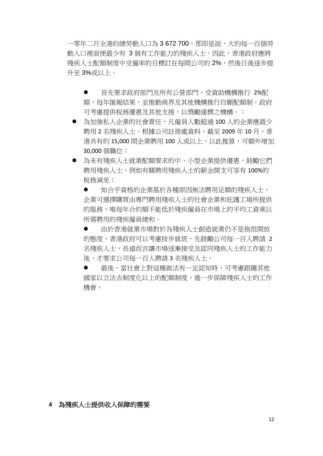一零年二月全港的總勞動人口為 3 672 700。那即是說,大約每一百個勞 動人口裡面便最少有 3 個有工作能力的殘疾人士。因此,香港政府應將 殘疾人士配額制度中受僱率的目標訂在每間公司的2%,然後日後逐步提 升至 3%或以上。

● 首先要求政府部門及所有公營部門,受資助機構推行 2%配 額,每年匯報結果,並推動商界及其他機構推行自願配額制。政府 可考慮提供稅務優惠及其他支援, 以獎勵達標之機構。;

- 為加強私人企業的社會責任,凡僱員人數超過 100 人的企業應最少 聘用2名殘疾人士。根據公司註冊處資料,截至 2009年10月,香 港共有約 15,000 間企業聘用 100 人或以上,以此推算,可額外增加 30,000 個職位;
- 為未有殘疾人士就業配額要求的中、小型企業提供優惠,鼓勵它們 聘用殘疾人士,例如有關聘用殘疾人士的薪金開支可享有 100%的 稅務減免;

● 如合平資格的企業基於各種原因無法聘用足額的殘疾人士, 企業可選擇購買由專門聘用殘疾人士的社會企業和庇護工場所提供 的服務,唯每年合約額不能低於殘疾僱員在市場上的平均工資乘以 所需聘用的殘疾僱員總和。

 由於香港就業市場對於為殘疾人士創造就業仍不是抱很開放 的態度,香港政府可以考慮按步就班,先鼓勵公司每一百人聘請 2 名殘疾人士,長遠而言讓市場逐漸接受及認同殘疾人士的工作能力 後,才要求公司每一百人聘請 3 名殘疾人士。

● 最後,當社會上對這種做法有一定認知時,可考慮跟隨其他 國家以立法去制度化以上的配額制度,進一步保障殘疾人士的工作 機會。

#### **4** 為殘疾人士提供收入保障的需要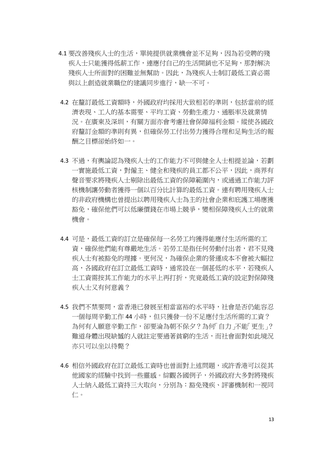- 4.1 要改善殘疾人士的生活, 單純提供就業機會並不足夠, 因為若受聘的殘 疾人士只能獲得低薪工作,連應付自己的生活開銷也不足夠,那對解決 殘疾人士所面對的困難並無幫助。因此,為殘疾人士制訂最低工資必需 與以上創造就業職位的建議同步進行,缺一不可。
- 4.2 在釐訂最低工資額時,外國政府均採用大致相若的準則,包括當前的經 濟表現、工人的基本需要、平均工資、勞動生產力、通脹率及就業情 況。在廣東及深圳,有關方面亦會考慮社會保障福利金額。縱使各國政 府釐訂金額的準則有異,但確保勞工付出勞力獲得合理和足夠生活的報 酬之目標卻始終如一。
- 4.3 不過,有輿論認為殘疾人士的工作能力不可與健全人士相提並論,若劃 一實施最低工資,對僱主、健全和殘疾的員工都不公平,因此,商界有 聲音要求將殘疾人士剔除出最低工資的保障範圍內,或通過工作能力評 核機制讓勞動者獲得一個以百分比計算的最低工資。連有聘用殘疾人士 的非政府機構也曾提出以聘用殘疾人士為主的社會企業和庇護工場應獲 豁免,確保他們可以低廉價錢在市場上競爭,變相保障殘疾人士的就業 機會。
- 4.4 可是,最低工資的訂立是確保每一名勞工均獲得能應付生活所需的工 資,確保他們能有尊嚴地生活。若勞工是指任何勞動付出者,君不見殘 疾人士有被豁免的理據。更何況,為確保企業的營運成本不會被大幅拉 高,各國政府在訂立最低工資時,通常設在一個甚低的水平,若殘疾人 士工資需按其工作能力的水平上再打折,究竟最低工資的設定對保障殘 疾人士又有何意義?
- 4.5 我們不禁要問,當香港已發展至相當富裕的水平時,社會是否仍能容忍 一個每周辛勤工作 44 小時,但只獲發一份不足應付生活所需的工資? 為何有人願意辛勤工作,卻要淪為朝不保夕?為何「自力」不能「更生」? 難道身體出現缺憾的人就註定要過著貧窮的生活,而社會面對如此境況 亦只可以坐以待斃?
- 4.6 相信外國政府在訂立最低工資時也曾面對上述問題,或許香港可以從其 他國家的經驗中找到一些靈感。綜觀各國例子,外國政府大多對將殘疾 人士納入最低工資持三大取向,分別為:豁免殘疾、評審機制和一視同 仁。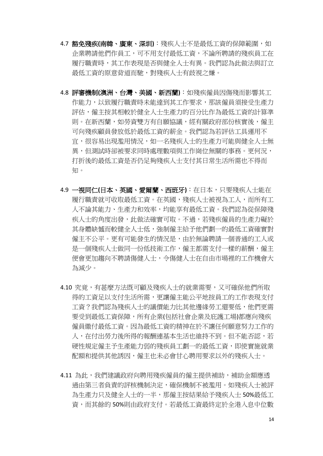- 4.7 豁免殘疾**(**南韓、廣東、深圳**)**:殘疾人士不是最低工資的保障範圍,如 企業聘請他們作員工,可不用支付最低工資,不論所聘請的殘疾員工在 履行職責時,其工作表現是否與健全人士有異。我們認為此做法與訂立 最低工資的原意背道而馳,對殘疾人士有歧視之嫌。
- 4.8 評審機制**(**澳洲、台灣、美國、新西蘭**)**:如殘疾僱員因傷殘而影響其工 作能力,以致履行職責時未能達到其工作要求,那該僱員須接受生產力 評估,僱主按其相較於健全人士生產力的百分比作為最低工資的計算準 則。在新西蘭,如勞資雙方有自願協議,經有關政府部份核實後,僱主 可向殘疾顧員發放低於最低工資的薪金。我們認為若評估工具運用不 宜,很容易出現濫用情況,如一名殘疾人士的生產力可能與健全人士無 異,但測試時卻被要求同時處理數項與工作崗位無關的事務。更何況, 打折後的最低工資是否仍足夠殘疾人士支付其日常生活所需也不得而 知。
- 4.9 一視同仁**(**日本、英國、愛爾蘭、西班牙**)**:在日本,只要殘疾人士能在 履行職責就可收取最低工資。在英國,殘疾人士被視為工人,而所有工 人不論其能力、生產力和效率,均能享有最低工資。我們認為從保障殘 疾人士的角度出發,此做法確實可取。不過,若殘疾僱員的生產力礙於 其身體缺憾而較健全人士低,強制僱主給予他們劃一的最低工資確實對 僱主不公平。更有可能發生的情況是,由於無論聘請一個普通的工人或 是一個殘疾人士做同一份低技術工作,僱主都需支付一樣的薪酬,僱主 便會更加趨向不聘請傷健人士,令傷健人士在自由市場裡的工作機會大 為減少。
- 4.10 究竟,有甚麼方法既可顧及殘疾人士的就業需要,又可確保他們所取 得的工資足以支付生活所需,更讓僱主能公平地按員工的工作表現支付 工資?我們認為殘疾人士的議價能力比其他邊緣勞工還要低,他們更需 要受到最低工資保障,所有企業(包括社會企業及庇護工場)都應向殘疾 僱員繳付最低工資。因為最低工資的精神在於不讓任何願意努力工作的 人,在付出勞力後所得的報酬連基本生活也維持不到。但不能否認,若 硬性規定僱主予生產能力弱的殘疾員工劃一的最低工資,即使實施就業 配額和提供其他誘因,僱主也未必會甘心聘用要求以外的殘疾人士。
- 4.11 為此,我們建議政府向聘用殘疾僱員的僱主提供補助,補助金額應诱 過由第三者負責的評核機制決定,確保機制不被濫用。如殘疾人士被評 為生產力只及健全人士的一半,那僱主按結果給予殘疾人士 50%最低工 資,而其餘的 50%則由政府支付。若最低工資最終定於全港入息中位數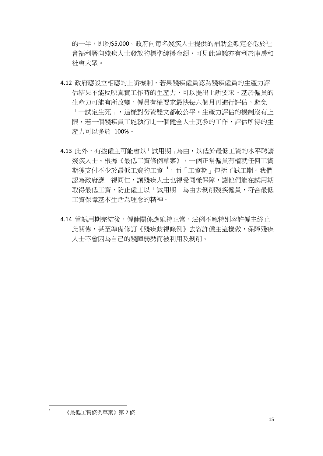的一半,即約\$5,000。政府向每名殘疾人士提供的補助金額定必低於社 會福利署向殘疾人士發放的標準綜援金額,可見此建議亦有利於庫房和 社會大眾。

- 4.12 政府應設立相應的上訴機制,若果殘疾僱員認為殘疾僱員的生產力評 估結果不能反映真實工作時的生產力,可以提出上訴要求。基於僱員的 生產力可能有所改變,僱員有權要求最快每六個月再進行評估,避免 「一試定生死」,這樣對勞資雙文都較公平。生產力評估的機制沒有上 限,若一個殘疾員工能執行比一個健全人士更多的工作,評估所得的生 產力可以多於 100%。
- 4.13 此外,有些僱主可能會以「試用期」為由,以低於最低工資的水平聘請 殘疾人士。根據《最低工資條例草案》,一個正常僱員有權就任何工資 期獲支付不少於最低工資的工資 <sup>1</sup>,而「工資期」包括了試工期。我們 認為政府應一視同仁,讓殘疾人士也視受同樣保障,讓他們能在試用期 取得最低工資,防止僱主以「試用期」為由去剝削殘疾僱員,符合最低 工資保障基本生活為理念的精神。
- 4.14 當試用期完結後,僱傭關係應維持正常,法例不應特別容許僱主終止 此關係,甚至準備修訂《殘疾歧視條例》去容許僱主這樣做,保障殘疾 人士不會因為自己的殘障弱勢而被利用及剝削。

 $\mathbf{1}$ <sup>1</sup> 《最低工資條例草案》第 7 條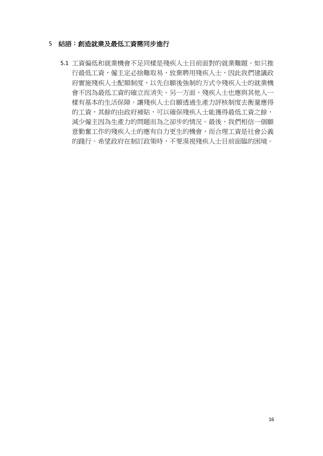#### 5 結語:創造就業及最低工資需同步進行

5.1 工資偏低和就業機會不足同樣是殘疾人士目前面對的就業難題。如只推 行最低工資,僱主定必捨難取易,放棄聘用殘疾人士,因此我們建議政 府實施殘疾人士配額制度,以先自願後強制的方式令殘疾人士的就業機 會不因為最低工資的確立而消失。另一方面,殘疾人士也應與其他人一 樣有基本的生活保障。讓殘疾人士自願透過生產力評核制度去衡量應得 的工資,其餘的由政府補貼,可以確保殘疾人士能獲得最低工資之餘, 減少僱主因為生產力的問題而為之卻步的情況。最後,我們相信一個願 意勤奮工作的殘疾人士的應有自力更生的機會,而合理工資是社會公義 的踐行。希望政府在制訂政策時,不要漠視殘疾人士目前面臨的困境。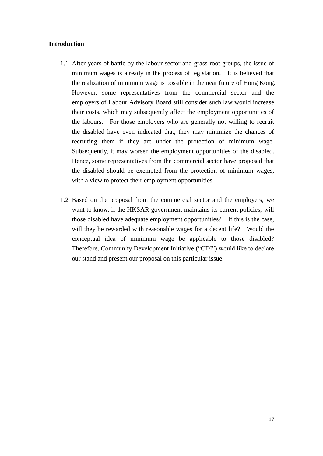#### **Introduction**

- 1.1 After years of battle by the labour sector and grass-root groups, the issue of minimum wages is already in the process of legislation. It is believed that the realization of minimum wage is possible in the near future of Hong Kong. However, some representatives from the commercial sector and the employers of Labour Advisory Board still consider such law would increase their costs, which may subsequently affect the employment opportunities of the labours. For those employers who are generally not willing to recruit the disabled have even indicated that, they may minimize the chances of recruiting them if they are under the protection of minimum wage. Subsequently, it may worsen the employment opportunities of the disabled. Hence, some representatives from the commercial sector have proposed that the disabled should be exempted from the protection of minimum wages, with a view to protect their employment opportunities.
- 1.2 Based on the proposal from the commercial sector and the employers, we want to know, if the HKSAR government maintains its current policies, will those disabled have adequate employment opportunities? If this is the case, will they be rewarded with reasonable wages for a decent life? Would the conceptual idea of minimum wage be applicable to those disabled? Therefore, Community Development Initiative ("CDI") would like to declare our stand and present our proposal on this particular issue.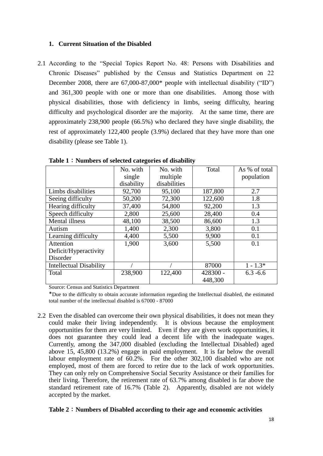#### **1. Current Situation of the Disabled**

2.1 According to the "Special Topics Report No. 48: Persons with Disabilities and Chronic Diseases" published by the Census and Statistics Department on 22 December 2008, there are 67,000-87,000\* people with intellectual disability ("ID") and 361,300 people with one or more than one disabilities. Among those with physical disabilities, those with deficiency in limbs, seeing difficulty, hearing difficulty and psychological disorder are the majority. At the same time, there are approximately 238,900 people (66.5%) who declared they have single disability, the rest of approximately 122,400 people (3.9%) declared that they have more than one disability (please see Table 1).

|                                | No. with   | No. with     | Total    | As % of total |
|--------------------------------|------------|--------------|----------|---------------|
|                                | single     | multiple     |          | population    |
|                                | disability | disabilities |          |               |
| Limbs disabilities             | 92,700     | 95,100       | 187,800  | 2.7           |
| Seeing difficulty              | 50,200     | 72,300       | 122,600  | 1.8           |
| Hearing difficulty             | 37,400     | 54,800       | 92,200   | 1.3           |
| Speech difficulty              | 2,800      | 25,600       | 28,400   | 0.4           |
| Mental illness                 | 48,100     | 38,500       | 86,600   | 1.3           |
| Autism                         | 1,400      | 2,300        | 3,800    | 0.1           |
| Learning difficulty            | 4,400      | 5,500        | 9,900    | 0.1           |
| Attention                      | 1,900      | 3,600        | 5,500    | 0.1           |
| Deficit/Hyperactivity          |            |              |          |               |
| Disorder                       |            |              |          |               |
| <b>Intellectual Disability</b> |            |              | 87000    | $1 - 1.3*$    |
| Total                          | 238,900    | 122,400      | 428300 - | $6.3 - 6.6$   |
|                                |            |              | 448,300  |               |

**Table 1**:**Numbers of selected categories of disability**

Source: Census and Statistics Department

\*Due to the difficulty to obtain accurate information regarding the Intellectual disabled, the estimated total number of the intellectual disabled is 67000 - 87000

2.2 Even the disabled can overcome their own physical disabilities, it does not mean they could make their living independently. It is obvious because the employment opportunities for them are very limited. Even if they are given work opportunities, it does not guarantee they could lead a decent life with the inadequate wages. Currently, among the 347,000 disabled (excluding the Intellectual Disabled) aged above 15, 45,800 (13.2%) engage in paid employment. It is far below the overall labour employment rate of 60.2%. For the other 302,100 disabled who are not employed, most of them are forced to retire due to the lack of work opportunities. They can only rely on Comprehensive Social Security Assistance or their families for their living. Therefore, the retirement rate of 63.7% among disabled is far above the standard retirement rate of 16.7% (Table 2). Apparently, disabled are not widely accepted by the market.

#### **Table 2**:**Numbers of Disabled according to their age and economic activities**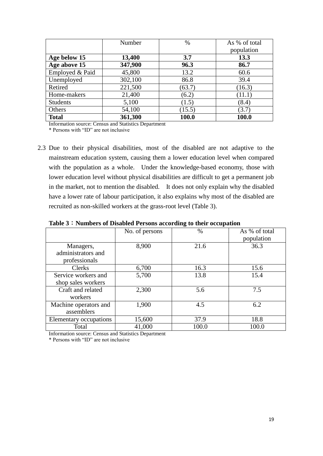|                 | Number  | %      | As % of total |
|-----------------|---------|--------|---------------|
|                 |         |        | population    |
| Age below 15    | 13,400  | 3.7    | 13.3          |
| Age above 15    | 347,900 | 96.3   | 86.7          |
| Employed & Paid | 45,800  | 13.2   | 60.6          |
| Unemployed      | 302,100 | 86.8   | 39.4          |
| Retired         | 221,500 | (63.7) | (16.3)        |
| Home-makers     | 21,400  | (6.2)  | (11.1)        |
| <b>Students</b> | 5,100   | (1.5)  | (8.4)         |
| Others          | 54,100  | (15.5) | (3.7)         |
| <b>Total</b>    | 361,300 | 100.0  | 100.0         |

Information source: Census and Statistics Department

\* Persons with "ID" are not inclusive

2.3 Due to their physical disabilities, most of the disabled are not adaptive to the mainstream education system, causing them a lower education level when compared with the population as a whole. Under the knowledge-based economy, those with lower education level without physical disabilities are difficult to get a permanent job in the market, not to mention the disabled. It does not only explain why the disabled have a lower rate of labour participation, it also explains why most of the disabled are recruited as non-skilled workers at the grass-root level (Table 3).

|                                     | No. of persons | $\%$  | As % of total<br>population |
|-------------------------------------|----------------|-------|-----------------------------|
| Managers,<br>administrators and     | 8,900          | 21.6  | 36.3                        |
| professionals                       |                |       |                             |
| <b>Clerks</b>                       | 6,700          | 16.3  | 15.6                        |
| Service workers and                 | 5,700          | 13.8  | 15.4                        |
| shop sales workers                  |                |       |                             |
| Craft and related<br>workers        | 2,300          | 5.6   | 7.5                         |
| Machine operators and<br>assemblers | 1,900          | 4.5   | 6.2                         |
| Elementary occupations              | 15,600         | 37.9  | 18.8                        |
| Total                               | 41,000         | 100.0 | 100.0                       |

**Table 3**:**Numbers of Disabled Persons according to their occupation**

Information source: Census and Statistics Department

\* Persons with "ID" are not inclusive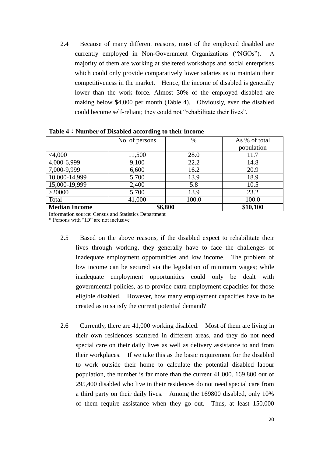2.4 Because of many different reasons, most of the employed disabled are currently employed in Non-Government Organizations ("NGOs"). A majority of them are working at sheltered workshops and social enterprises which could only provide comparatively lower salaries as to maintain their competitiveness in the market. Hence, the income of disabled is generally lower than the work force. Almost 30% of the employed disabled are making below \$4,000 per month (Table 4). Obviously, even the disabled could become self-reliant; they could not "rehabilitate their lives".

|                      | o              |         |               |
|----------------------|----------------|---------|---------------|
|                      | No. of persons | $\%$    | As % of total |
|                      |                |         | population    |
| $<$ 4,000            | 11,500         | 28.0    | 11.7          |
| 4,000-6,999          | 9,100          | 22.2    | 14.8          |
| 7,000-9,999          | 6,600          | 16.2    | 20.9          |
| 10,000-14,999        | 5,700          | 13.9    | 18.9          |
| 15,000-19,999        | 2,400          | 5.8     | 10.5          |
| >20000               | 5,700          | 13.9    | 23.2          |
| Total                | 41,000         | 100.0   | 100.0         |
| <b>Median Income</b> |                | \$6,800 | \$10,100      |

**Table 4**:**Number of Disabled according to their income**

Information source: Census and Statistics Department

\* Persons with "ID" are not inclusive

- 2.5 Based on the above reasons, if the disabled expect to rehabilitate their lives through working, they generally have to face the challenges of inadequate employment opportunities and low income. The problem of low income can be secured via the legislation of minimum wages; while inadequate employment opportunities could only be dealt with governmental policies, as to provide extra employment capacities for those eligible disabled. However, how many employment capacities have to be created as to satisfy the current potential demand?
- 2.6 Currently, there are 41,000 working disabled. Most of them are living in their own residences scattered in different areas, and they do not need special care on their daily lives as well as delivery assistance to and from their workplaces. If we take this as the basic requirement for the disabled to work outside their home to calculate the potential disabled labour population, the number is far more than the current 41,000. 169,800 out of 295,400 disabled who live in their residences do not need special care from a third party on their daily lives. Among the 169800 disabled, only 10% of them require assistance when they go out. Thus, at least 150,000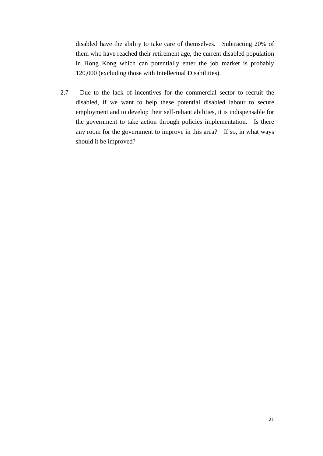disabled have the ability to take care of themselves. Subtracting 20% of them who have reached their retirement age, the current disabled population in Hong Kong which can potentially enter the job market is probably 120,000 (excluding those with Intellectual Disabilities).

2.7 Due to the lack of incentives for the commercial sector to recruit the disabled, if we want to help these potential disabled labour to secure employment and to develop their self-reliant abilities, it is indispensable for the government to take action through policies implementation. Is there any room for the government to improve in this area? If so, in what ways should it be improved?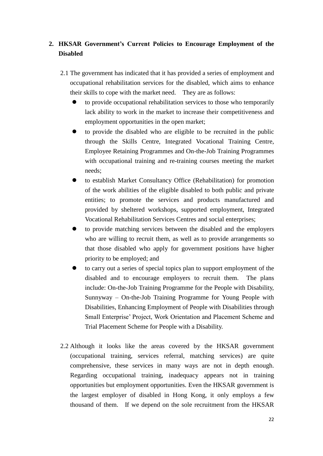### **2. HKSAR Government's Current Policies to Encourage Employment of the Disabled**

- 2.1 The government has indicated that it has provided a series of employment and occupational rehabilitation services for the disabled, which aims to enhance their skills to cope with the market need. They are as follows:
	- to provide occupational rehabilitation services to those who temporarily lack ability to work in the market to increase their competitiveness and employment opportunities in the open market;
	- to provide the disabled who are eligible to be recruited in the public through the Skills Centre, Integrated Vocational Training Centre, Employee Retaining Programmes and On-the-Job Training Programmes with occupational training and re-training courses meeting the market needs;
	- to establish Market Consultancy Office (Rehabilitation) for promotion of the work abilities of the eligible disabled to both public and private entities; to promote the services and products manufactured and provided by sheltered workshops, supported employment, Integrated Vocational Rehabilitation Services Centres and social enterprises;
	- to provide matching services between the disabled and the employers who are willing to recruit them, as well as to provide arrangements so that those disabled who apply for government positions have higher priority to be employed; and
	- to carry out a series of special topics plan to support employment of the disabled and to encourage employers to recruit them. The plans include: On-the-Job Training Programme for the People with Disability, Sunnyway – On-the-Job Training Programme for Young People with Disabilities, Enhancing Employment of People with Disabilities through Small Enterprise' Project, Work Orientation and Placement Scheme and Trial Placement Scheme for People with a Disability.
- 2.2 Although it looks like the areas covered by the HKSAR government (occupational training, services referral, matching services) are quite comprehensive, these services in many ways are not in depth enough. Regarding occupational training, inadequacy appears not in training opportunities but employment opportunities. Even the HKSAR government is the largest employer of disabled in Hong Kong, it only employs a few thousand of them. If we depend on the sole recruitment from the HKSAR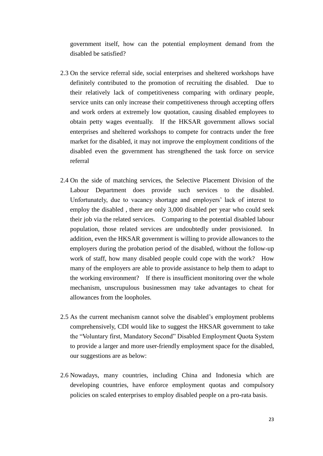government itself, how can the potential employment demand from the disabled be satisfied?

- 2.3 On the service referral side, social enterprises and sheltered workshops have definitely contributed to the promotion of recruiting the disabled. Due to their relatively lack of competitiveness comparing with ordinary people, service units can only increase their competitiveness through accepting offers and work orders at extremely low quotation, causing disabled employees to obtain petty wages eventually. If the HKSAR government allows social enterprises and sheltered workshops to compete for contracts under the free market for the disabled, it may not improve the employment conditions of the disabled even the government has strengthened the task force on service referral
- 2.4 On the side of matching services, the Selective Placement Division of the Labour Department does provide such services to the disabled. Unfortunately, due to vacancy shortage and employers' lack of interest to employ the disabled , there are only 3,000 disabled per year who could seek their job via the related services. Comparing to the potential disabled labour population, those related services are undoubtedly under provisioned. In addition, even the HKSAR government is willing to provide allowances to the employers during the probation period of the disabled, without the follow-up work of staff, how many disabled people could cope with the work? How many of the employers are able to provide assistance to help them to adapt to the working environment? If there is insufficient monitoring over the whole mechanism, unscrupulous businessmen may take advantages to cheat for allowances from the loopholes.
- 2.5 As the current mechanism cannot solve the disabled's employment problems comprehensively, CDI would like to suggest the HKSAR government to take the "Voluntary first, Mandatory Second" Disabled Employment Quota System to provide a larger and more user-friendly employment space for the disabled, our suggestions are as below:
- 2.6 Nowadays, many countries, including China and Indonesia which are developing countries, have enforce employment quotas and compulsory policies on scaled enterprises to employ disabled people on a pro-rata basis.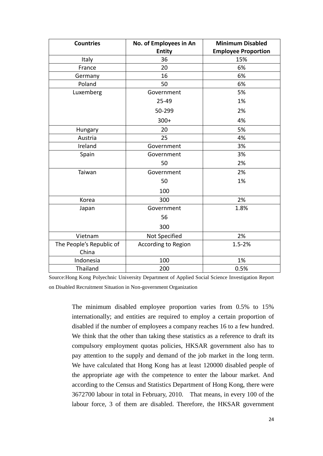| <b>Countries</b>                  | No. of Employees in An<br><b>Entity</b> | <b>Minimum Disabled</b><br><b>Employee Proportion</b> |
|-----------------------------------|-----------------------------------------|-------------------------------------------------------|
| Italy                             | 36                                      | 15%                                                   |
| France                            | 20                                      | 6%                                                    |
| Germany                           | 16                                      | 6%                                                    |
| Poland                            | 50                                      | 6%                                                    |
| Luxemberg                         | Government                              | 5%                                                    |
|                                   | 25-49                                   | 1%                                                    |
|                                   | 50-299                                  | 2%                                                    |
|                                   | $300+$                                  | 4%                                                    |
| Hungary                           | 20                                      | 5%                                                    |
| Austria                           | 25                                      | 4%                                                    |
| Ireland                           | Government                              | 3%                                                    |
| Spain                             | Government                              | 3%                                                    |
|                                   | 50                                      | 2%                                                    |
| Taiwan                            | Government                              | 2%                                                    |
|                                   | 50                                      | 1%                                                    |
|                                   | 100                                     |                                                       |
| Korea                             | 300                                     | 2%                                                    |
| Japan                             | Government                              | 1.8%                                                  |
|                                   | 56                                      |                                                       |
|                                   | 300                                     |                                                       |
| Vietnam                           | Not Specified                           | 2%                                                    |
| The People's Republic of<br>China | <b>According to Region</b>              | $1.5 - 2%$                                            |
| Indonesia                         | 100                                     | 1%                                                    |
| Thailand                          | 200                                     | 0.5%                                                  |

Source:Hong Kong Polyechnic University Department of Applied Social Science Investigation Report on Disabled Recruitment Situation in Non-government Organization

> The minimum disabled employee proportion varies from 0.5% to 15% internationally; and entities are required to employ a certain proportion of disabled if the number of employees a company reaches 16 to a few hundred. We think that the other than taking these statistics as a reference to draft its compulsory employment quotas policies, HKSAR government also has to pay attention to the supply and demand of the job market in the long term. We have calculated that Hong Kong has at least 120000 disabled people of the appropriate age with the competence to enter the labour market. And according to the Census and Statistics Department of Hong Kong, there were 3672700 labour in total in February, 2010. That means, in every 100 of the labour force, 3 of them are disabled. Therefore, the HKSAR government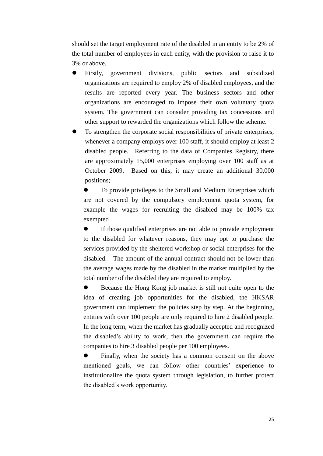should set the target employment rate of the disabled in an entity to be 2% of the total number of employees in each entity, with the provision to raise it to 3% or above.

- Firstly, government divisions, public sectors and subsidized organizations are required to employ 2% of disabled employees, and the results are reported every year. The business sectors and other organizations are encouraged to impose their own voluntary quota system. The government can consider providing tax concessions and other support to rewarded the organizations which follow the scheme.
- To strengthen the corporate social responsibilities of private enterprises, whenever a company employs over 100 staff, it should employ at least 2 disabled people. Referring to the data of Companies Registry, there are approximately 15,000 enterprises employing over 100 staff as at October 2009. Based on this, it may create an additional 30,000 positions;

 To provide privileges to the Small and Medium Enterprises which are not covered by the compulsory employment quota system, for example the wages for recruiting the disabled may be 100% tax exempted

 If those qualified enterprises are not able to provide employment to the disabled for whatever reasons, they may opt to purchase the services provided by the sheltered workshop or social enterprises for the disabled. The amount of the annual contract should not be lower than the average wages made by the disabled in the market multiplied by the total number of the disabled they are required to employ.

 Because the Hong Kong job market is still not quite open to the idea of creating job opportunities for the disabled, the HKSAR government can implement the policies step by step. At the beginning, entities with over 100 people are only required to hire 2 disabled people. In the long term, when the market has gradually accepted and recognized the disabled's ability to work, then the government can require the companies to hire 3 disabled people per 100 employees.

 Finally, when the society has a common consent on the above mentioned goals, we can follow other countries' experience to institutionalize the quota system through legislation, to further protect the disabled's work opportunity.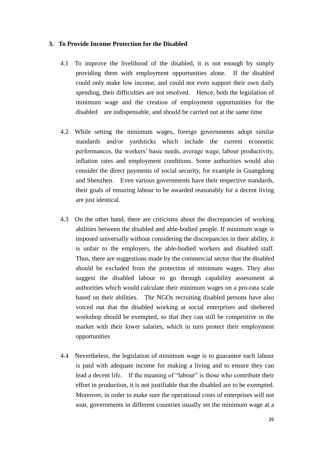#### **3. To Provide Income Protection for the Disabled**

- 4.1 To improve the livelihood of the disabled, it is not enough by simply providing them with employment opportunities alone. If the disabled could only make low income, and could not even support their own daily spending, their difficulties are not resolved. Hence, both the legislation of minimum wage and the creation of employment opportunities for the disabled are indispensable, and should be carried out at the same time
- 4.2 While setting the minimum wages, foreign governments adopt similar standards and/or yardsticks which include the current economic performances, the workers' basic needs, average wage, labour productivity, inflation rates and employment conditions. Some authorities would also consider the direct payments of social security, for example in Guangdong and Shenzhen. Even various governments have their respective standards, their goals of ensuring labour to be awarded reasonably for a decent living are just identical.
- 4.3 On the other hand, there are criticisms about the discrepancies of working abilities between the disabled and able-bodied people. If minimum wage is imposed universally without considering the discrepancies in their ability, it is unfair to the employers, the able-bodied workers and disabled staff. Thus, there are suggestions made by the commercial sector that the disabled should be excluded from the protection of minimum wages. They also suggest the disabled labour to go through capability assessment at authorities which would calculate their minimum wages on a pro-rata scale based on their abilities. The NGOs recruiting disabled persons have also voiced out that the disabled working at social enterprises and sheltered workshop should be exempted, so that they can still be competitive in the market with their lower salaries, which in turn protect their employment opportunities
- 4.4 Nevertheless, the legislation of minimum wage is to guarantee each labour is paid with adequate income for making a living and to ensure they can lead a decent life. If the meaning of "labour" is those who contribute their effort in production, it is not justifiable that the disabled are to be exempted. Moreover, in order to make sure the operational costs of enterprises will not soar, governments in different countries usually set the minimum wage at a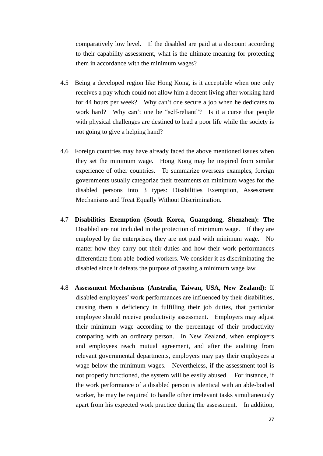comparatively low level. If the disabled are paid at a discount according to their capability assessment, what is the ultimate meaning for protecting them in accordance with the minimum wages?

- 4.5 Being a developed region like Hong Kong, is it acceptable when one only receives a pay which could not allow him a decent living after working hard for 44 hours per week? Why can't one secure a job when he dedicates to work hard? Why can't one be "self-reliant"? Is it a curse that people with physical challenges are destined to lead a poor life while the society is not going to give a helping hand?
- 4.6 Foreign countries may have already faced the above mentioned issues when they set the minimum wage. Hong Kong may be inspired from similar experience of other countries. To summarize overseas examples, foreign governments usually categorize their treatments on minimum wages for the disabled persons into 3 types: Disabilities Exemption, Assessment Mechanisms and Treat Equally Without Discrimination.
- 4.7 **Disabilities Exemption (South Korea, Guangdong, Shenzhen): The**  Disabled are not included in the protection of minimum wage. If they are employed by the enterprises, they are not paid with minimum wage. No matter how they carry out their duties and how their work performances differentiate from able-bodied workers. We consider it as discriminating the disabled since it defeats the purpose of passing a minimum wage law.
- 4.8 **Assessment Mechanisms (Australia, Taiwan, USA, New Zealand):** If disabled employees' work performances are influenced by their disabilities, causing them a deficiency in fulfilling their job duties, that particular employee should receive productivity assessment. Employers may adjust their minimum wage according to the percentage of their productivity comparing with an ordinary person. In New Zealand, when employers and employees reach mutual agreement, and after the auditing from relevant governmental departments, employers may pay their employees a wage below the minimum wages. Nevertheless, if the assessment tool is not properly functioned, the system will be easily abused. For instance, if the work performance of a disabled person is identical with an able-bodied worker, he may be required to handle other irrelevant tasks simultaneously apart from his expected work practice during the assessment. In addition,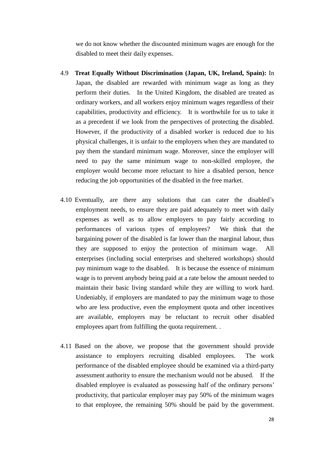we do not know whether the discounted minimum wages are enough for the disabled to meet their daily expenses.

- 4.9 **Treat Equally Without Discrimination (Japan, UK, Ireland, Spain):** In Japan, the disabled are rewarded with minimum wage as long as they perform their duties. In the United Kingdom, the disabled are treated as ordinary workers, and all workers enjoy minimum wages regardless of their capabilities, productivity and efficiency. It is worthwhile for us to take it as a precedent if we look from the perspectives of protecting the disabled. However, if the productivity of a disabled worker is reduced due to his physical challenges, it is unfair to the employers when they are mandated to pay them the standard minimum wage. Moreover, since the employer will need to pay the same minimum wage to non-skilled employee, the employer would become more reluctant to hire a disabled person, hence reducing the job opportunities of the disabled in the free market.
- 4.10 Eventually, are there any solutions that can cater the disabled's employment needs, to ensure they are paid adequately to meet with daily expenses as well as to allow employers to pay fairly according to performances of various types of employees? We think that the bargaining power of the disabled is far lower than the marginal labour, thus they are supposed to enjoy the protection of minimum wage. All enterprises (including social enterprises and sheltered workshops) should pay minimum wage to the disabled. It is because the essence of minimum wage is to prevent anybody being paid at a rate below the amount needed to maintain their basic living standard while they are willing to work hard. Undeniably, if employers are mandated to pay the minimum wage to those who are less productive, even the employment quota and other incentives are available, employers may be reluctant to recruit other disabled employees apart from fulfilling the quota requirement. .
- 4.11 Based on the above, we propose that the government should provide assistance to employers recruiting disabled employees. The work performance of the disabled employee should be examined via a third-party assessment authority to ensure the mechanism would not be abused. If the disabled employee is evaluated as possessing half of the ordinary persons' productivity, that particular employer may pay 50% of the minimum wages to that employee, the remaining 50% should be paid by the government.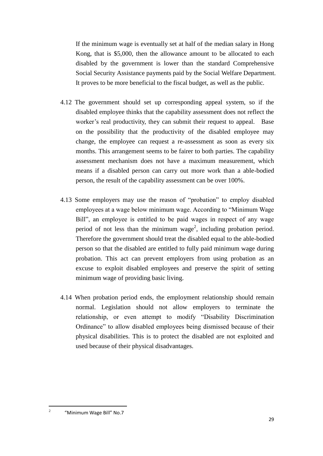If the minimum wage is eventually set at half of the median salary in Hong Kong, that is \$5,000, then the allowance amount to be allocated to each disabled by the government is lower than the standard Comprehensive Social Security Assistance payments paid by the Social Welfare Department. It proves to be more beneficial to the fiscal budget, as well as the public.

- 4.12 The government should set up corresponding appeal system, so if the disabled employee thinks that the capability assessment does not reflect the worker's real productivity, they can submit their request to appeal. Base on the possibility that the productivity of the disabled employee may change, the employee can request a re-assessment as soon as every six months. This arrangement seems to be fairer to both parties. The capability assessment mechanism does not have a maximum measurement, which means if a disabled person can carry out more work than a able-bodied person, the result of the capability assessment can be over 100%.
- 4.13 Some employers may use the reason of "probation" to employ disabled employees at a wage below minimum wage. According to "Minimum Wage Bill", an employee is entitled to be paid wages in respect of any wage period of not less than the minimum wage<sup>2</sup>, including probation period. Therefore the government should treat the disabled equal to the able-bodied person so that the disabled are entitled to fully paid minimum wage during probation. This act can prevent employers from using probation as an excuse to exploit disabled employees and preserve the spirit of setting minimum wage of providing basic living.
- 4.14 When probation period ends, the employment relationship should remain normal. Legislation should not allow employers to terminate the relationship, or even attempt to modify "Disability Discrimination Ordinance" to allow disabled employees being dismissed because of their physical disabilities. This is to protect the disabled are not exploited and used because of their physical disadvantages.

 $\frac{1}{2}$ "Minimum Wage Bill" No.7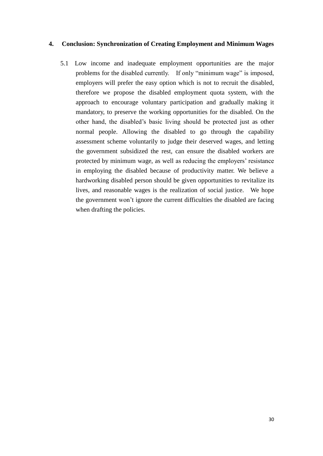#### **4. Conclusion: Synchronization of Creating Employment and Minimum Wages**

5.1 Low income and inadequate employment opportunities are the major problems for the disabled currently. If only "minimum wage" is imposed, employers will prefer the easy option which is not to recruit the disabled, therefore we propose the disabled employment quota system, with the approach to encourage voluntary participation and gradually making it mandatory, to preserve the working opportunities for the disabled. On the other hand, the disabled's basic living should be protected just as other normal people. Allowing the disabled to go through the capability assessment scheme voluntarily to judge their deserved wages, and letting the government subsidized the rest, can ensure the disabled workers are protected by minimum wage, as well as reducing the employers' resistance in employing the disabled because of productivity matter. We believe a hardworking disabled person should be given opportunities to revitalize its lives, and reasonable wages is the realization of social justice. We hope the government won't ignore the current difficulties the disabled are facing when drafting the policies.